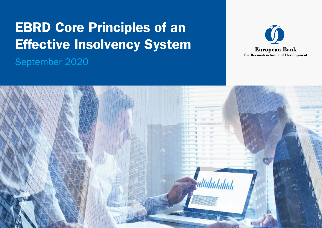# EBRD Core Principles of an Effective Insolvency System

September 2020



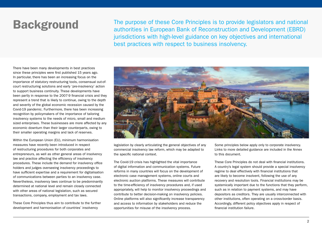**Background** The purpose of these Core Principles is to provide legislators and national proposed in Furence Rank of Peconstruction and Development (ERRD). authorities in European Bank of Reconstruction and Development (EBRD) jurisdictions with high-level guidance on key objectives and international best practices with respect to business insolvency.

There have been many developments in best practices since these principles were first published 15 years ago. In particular, there has been an increasing focus on the importance of statutory restructuring tools, consensual out-ofcourt restructuring solutions and early 'pre-insolvency' action to support business continuity. These developments have been partly in response to the 2007-9 financial crisis and they represent a trend that is likely to continue, owing to the depth and severity of the global economic recession caused by the Covid-19 pandemic. Furthermore, there has been increasing recognition by policymakers of the importance of tailoring insolvency systems to the needs of micro, small and medium sized enterprises. These businesses are more affected by any economic downturn than their larger counterparts, owing to their smaller operating margins and lack of reserves.

Within the European Union (EU), minimum harmonisation measures have recently been introduced in respect of restructuring procedures for both corporates and entrepreneurs, as well as other general areas of insolvency law and practice affecting the efficiency of insolvency procedures. These include the demand for insolvency office holders and judges overseeing insolvency proceedings to have sufficient expertise and a requirement for digitalisation of communications between parties to an insolvency case. Nevertheless, insolvency laws continue to be predominantly determined at national level and remain closely connected with other areas of national legislation, such as secured transactions, company, employment and tax laws.

These Core Principles thus aim to contribute to the further development and harmonisation of countries' insolvency



legislation by clearly articulating the general objectives of any commercial insolvency law reform, which may be adapted to the specific national context.

The Covid-19 crisis has highlighted the vital importance of digital information and communication systems. Future reforms in many countries will focus on the development of electronic case management systems, online courts and electronic auction platforms. These measures will contribute to the time-efficiency of insolvency procedures and, if used appropriately, will help to monitor insolvency proceedings and contribute to better decision-making on insolvency policies. Online platforms will also significantly increase transparency and access to information by stakeholders and reduce the opportunities for misuse of the insolvency process.

Some principles below apply only to corporate insolvency. Links to more detailed guidance are included in the Annex to this document.

These Core Principles do not deal with financial institutions. A country's legal system should provide a special insolvency regime to deal effectively with financial institutions that are likely to become insolvent, following the use of any recovery and resolution tools. Financial institutions may be systemically important due to the functions that they perform, such as in relation to payment systems, and may have depositors as creditors. They are usually interconnected with other institutions, often operating on a cross-border basis. Accordingly, different policy objectives apply in respect of financial institution failure.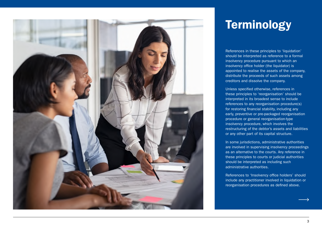

## **Terminology**

References in these principles to 'liquidation' should be interpreted as reference to a formal insolvency procedure pursuant to which an insolvency office holder (the liquidator) is appointed to realise the assets of the company, distribute the proceeds of such assets among creditors and dissolve the company.

Unless specified otherwise, references in these principles to 'reorganisation' should be interpreted in its broadest sense to include references to any reorganisation procedure(s) for restoring financial stability, including any early, preventive or pre-packaged reorganisation procedure or general reorganisation-type insolvency procedure, which involves the restructuring of the debtor's assets and liabilities or any other part of its capital structure.

In some jurisdictions, administrative authorities are involved in supervising insolvency proceedings as an alternative to the courts. Any reference in these principles to courts or judicial authorities should be interpreted as including such administrative authorities.

References to 'Insolvency office holders' should include any practitioner involved in liquidation or reorganisation procedures as defined above.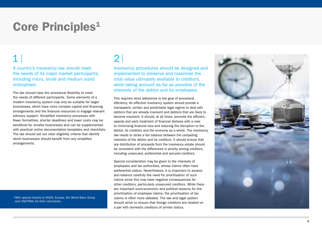## Core Principles<sup>1</sup>

## $1$  2

A country's insolvency law should meet the needs of its major market participants, including micro, small and medium sized enterprises.

The law should have the procedural flexibility to meet the needs of different participants. Some elements of a modern insolvency system may only be suitable for larger businesses, which have more complex capital and financing arrangements and the financial resources to engage relevant advisory support. Simplified insolvency processes with fewer formalities, shorter deadlines and lower costs may be beneficial for smaller businesses and can be supplemented with practical online documentation templates and checklists. The law should set out clear eligibility criteria that identify which businesses should benefit from any simplified arrangements.

<sup>1</sup> With special thanks to INSOL Europe, the World Bank Group and UNCITRAL for their comments.

Insolvency procedures should be designed and implemented to preserve and maximise the total value ultimately available to creditors, while taking account as far as possible of the interests of the debtor and its employees.

This requires strict adherence to the goal of procedural efficiency. An effective insolvency system should provide a transparent, certain and predictable legal regime to deal with debtors that are already insolvent and debtors that are likely to become insolvent. It should, at all times, promote the efficient, speedy and early treatment of financial distress with a view to minimising financial loss and reducing the disruption to the debtor, its creditors and the economy as a whole. The insolvency law needs to strike a fair balance between the competing interests of the debtor and its creditors. It should ensure that any distribution of proceeds from the insolvency estate should be consistent with the differences in priority among creditors, including unsecured, preferential and secured creditors.

Special consideration may be given to the interests of employees and tax authorities, whose claims often have preferential status. Nevertheless, it is important to assess and balance carefully the need for prioritisation of such claims since this may have negative consequences for other creditors, particularly unsecured creditors. While there are important socio-economic and political reasons for the prioritisation of employee claims, the prioritisation of tax claims is often more debated. The law and legal system should strive to ensure that foreign creditors are treated on a par with domestic creditors of similar status.

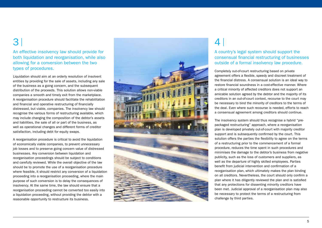## 3

An effective insolvency law should provide for both liquidation and reorganisation, while also allowing for a conversion between the two types of procedures.

Liquidation should aim at an orderly resolution of insolvent entities by providing for the sale of assets, including any sale of the business as a going concern, and the subsequent distribution of the proceeds. This solution allows non-viable companies a smooth and timely exit from the marketplace. A reorganisation procedure should facilitate the rehabilitation and financial and operative restructuring of financially distressed, but viable, companies. The insolvency law should recognise the various forms of restructuring available, which may include changing the composition of the debtor's assets and liabilities, the sale of all or part of the business, as well as operational changes and different forms of creditor satisfaction, including debt for equity swaps.

A reorganisation procedure is critical to avoid the liquidation of economically viable companies, to prevent unnecessary job losses and to preserve going concern value of distressed businesses. Any conversion between liquidation and reorganisation proceedings should be subject to conditions and carefully reviewed. While the overall objective of the law should be to promote the use of a reorganisation procedure where feasible, it should restrict any conversion of a liquidation proceeding into a reorganisation proceeding, where the main purpose of such conversion is to delay the consequences of insolvency. At the same time, the law should ensure that a reorganisation proceeding cannot be converted too easily into a liquidation proceeding, without providing the debtor with a reasonable opportunity to restructure its business.



### 4

A country's legal system should support the consensual financial restructuring of businesses outside of a formal insolvency law procedure.

Completely out-of-court restructuring based on private agreement offers a flexible, speedy and discreet treatment of the financial distress. A consensual solution is an ideal way to restore financial soundness in a cost-effective manner. Where a critical minority of affected creditors does not support an amicable solution agreed by the debtor and the majority of its creditors in an out-of-court context, recourse to the court may be necessary to bind the minority of creditors to the terms of the deal. Even where such recourse is needed, efforts to reach a consensual agreement among creditors should continue.

The insolvency system should thus recognise a hybrid "prepackaged restructuring" approach, where a reorganisation plan is developed privately out-of-court with majority creditor support and is subsequently confirmed by the court. This solution offers the parties the flexibility to agree on the terms of a restructuring prior to the commencement of a formal procedure, reduces the time spent in such procedures and minimises the damage to the debtor's business from negative publicity, such as the loss of customers and suppliers, as well as the departure of highly skilled employees. Parties benefit from judicial intervention and confirmation of a reorganisation plan, which ultimately makes the plan binding on all creditors. Nevertheless, the court should only confirm a plan where it has diligently reviewed the plan and is satisfied that any protections for dissenting minority creditors have been met. Judicial approval of a reorganisation plan may also be necessary to protect the terms of a restructuring from challenge by third parties.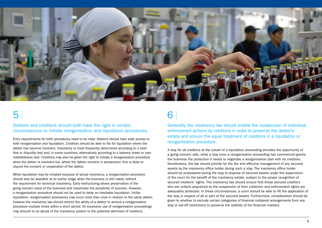

## $5<sup>1</sup>$  6

Debtors and creditors should both have the right in certain circumstances to initiate reorganisation and liquidation procedures.

Entry requirements for both procedures need to be clear. Debtors should have wide access to both reorganisation and liquidation. Creditors should be able to file for liquidation where the debtor has become insolvent. Insolvency is most frequently determined according to a cash flow or illiquidity test and, in some countries, alternatively according to a balance sheet or overindebtedness test. Creditors may also be given the right to initiate a reorganisation procedure when the debtor is insolvent but, where the debtor remains in possession, this is likely to require the consent or cooperation of the debtor.

While liquidation may be initiated because of actual insolvency, a reorganisation procedure should also be available at an earlier stage when the business is still viable, without the requirement for technical insolvency. Early restructuring allows preservation of the going concern value of the business and maximises the possibility of success. However, a reorganisation procedure should not be used to delay an inevitable liquidation. Unlike liquidation, reorganisation procedures may occur more than once in relation to the same debtor, however the insolvency law should restrict the ability of a debtor to access a reorganisation procedure multiple times within a short period. An excessive use of reorganisation proceedings may amount to an abuse of the insolvency system to the potential detriment of creditors.

Generally, the insolvency law should enable the suspension of individual enforcement actions by creditors in order to preserve the debtor's estate and ensure the equal treatment of creditors in a liquidation or reorganisation procedure.

A stay for all creditors at the outset of a liquidation proceeding provides the opportunity of a going concern sale, while a stay once a reorganisation proceeding has commenced grants the business the protection it needs to negotiate a reorganisation plan with its creditors. Nonetheless, the law should provide for the fair and effective management of any secured assets by the insolvency office holder during such a stay. The insolvency office holder should be empowered during the stay to dispose of secured assets under the supervision of the court for the benefit of the insolvency estate, subject to the proper recognition of secured creditors' rights. The insolvency law should ensure that those secured creditors who are unfairly prejudiced by the suspension of their collection and enforcement rights are adequately protected. In these circumstances, a court should be able to lift the application of the stay in respect of all or part of the secured assets. Furthermore, consideration should be given to whether to exclude certain categories of financial collateral arrangements from any stay or set-off restrictions to preserve the stability of the financial markets.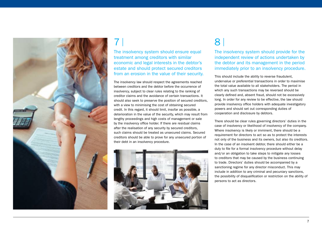

## 7 8

The insolvency system should ensure equal treatment among creditors with similar economic and legal interests in the debtor's estate and should protect secured creditors from an erosion in the value of their security.

The insolvency law should respect the agreements reached between creditors and the debtor before the occurrence of insolvency, subject to clear rules relating to the ranking of creditor claims and the avoidance of certain transactions. It should also seek to preserve the position of secured creditors, with a view to minimising the cost of obtaining secured credit. In this regard, it should limit, insofar as possible, a deterioration in the value of the security, which may result from lengthy proceedings and high costs of management or sale by the insolvency office holder. If there are residual claims after the realisation of any security by secured creditors, such claims should be treated as unsecured claims. Secured creditors should be able to prove for any unsecured portion of their debt in an insolvency procedure.



The insolvency system should provide for the independent review of actions undertaken by the debtor and its management in the period immediately prior to an insolvency procedure.

This should include the ability to reverse fraudulent, undervalue or preferential transactions in order to maximise the total value available to all stakeholders. The period in which any such transactions may be reversed should be clearly defined and, absent fraud, should not be excessively long. In order for any review to be effective, the law should provide insolvency office holders with adequate investigatory powers and should set out corresponding duties of cooperation and disclosure by debtors.

There should be clear rules governing directors' duties in the case of insolvency or likelihood of insolvency of the company. Where insolvency is likely or imminent, there should be a requirement for directors to act so as to protect the interests not only of the business and its owners, but also its creditors. In the case of an insolvent debtor, there should either be a duty to file for a formal insolvency procedure without delay and/or an obligation to take steps to mitigate any losses to creditors that may be caused by the business continuing to trade. Directors' duties should be accompanied by a sanctioning regime for any director misconduct. This may include in addition to any criminal and pecuniary sanctions, the possibility of disqualification or restriction on the ability of persons to act as directors.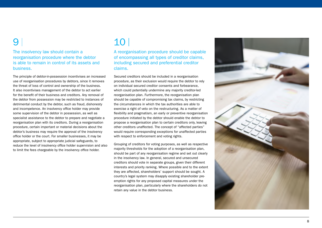The insolvency law should contain a reorganisation procedure where the debtor is able to remain in control of its assets and business.

The principle of debtor-in-possession incentivises an increased use of reorganisation procedures by debtors, since it removes the threat of loss of control and ownership of the business. It also incentivises management of the debtor to act earlier for the benefit of their business and creditors. Any removal of the debtor from possession may be restricted to instances of detrimental conduct by the debtor, such as fraud, dishonesty and incompetence. An insolvency office holder may provide some supervision of the debtor in possession, as well as specialist assistance to the debtor to prepare and negotiate a reorganisation plan with its creditors. During a reorganisation procedure, certain important or material decisions about the debtor's business may require the approval of the insolvency office holder or the court. For smaller businesses, it may be appropriate, subject to appropriate judicial safeguards, to reduce the level of insolvency office holder supervision and also to limit the fees chargeable by the insolvency office holder.

### 9 10

A reorganisation procedure should be capable of encompassing all types of creditor claims, including secured and preferential creditor claims.

Secured creditors should be included in a reorganisation procedure, as their exclusion would require the debtor to rely on individual secured creditor consents and forbearance, which could potentially undermine any majority creditor-led reorganisation plan. Furthermore, the reorganisation plan should be capable of compromising tax claims, by restricting the circumstances in which the tax authorities are able to exercise a right of veto on the restructuring. As a matter of flexibility and pragmatism, an early or preventive reorganisation procedure initiated by the debtor should enable the debtor to propose a reorganisation plan to certain creditors only, leaving other creditors unaffected. The concept of "affected parties" would require corresponding exceptions for unaffected parties with respect to enforcement and voting rights.

Grouping of creditors for voting purposes, as well as respective majority thresholds for the adoption of a reorganisation plan, should be part of any reorganisation regime and set out clearly in the insolvency law. In general, secured and unsecured creditors should vote in separate groups, given their different interests and priority ranking. Where possible and to the extent they are affected, shareholders' support should be sought. A country's legal system may disapply existing shareholder preemption rights for any proposed capital measures under the reorganisation plan, particularly where the shareholders do not retain any value in the debtor business.

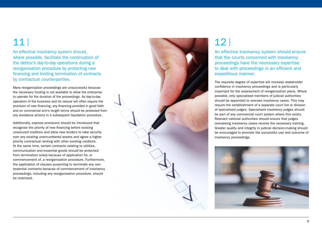An effective insolvency system should, where possible, facilitate the continuation of the debtor's day-to-day operations during a reorganisation procedure by protecting new financing and limiting termination of contracts by contractual counterparties.

Many reorganisation proceedings are unsuccessful because the necessary funding is not available to allow the enterprise to operate for the duration of the proceedings. As day-to-day operation of the business and its rescue will often require the provision of new financing, any financing provided in good faith and on commercial arm's length terms should be protected from any avoidance actions in a subsequent liquidation procedure.

Additionally, express provisions should be introduced that recognise the priority of new financing before existing unsecured creditors and allow new lenders to take security over any existing unencumbered assets and agree a higher priority contractual ranking with other existing creditors. At the same time, certain contracts relating to utilities, communication and essential goods should be protected from termination solely because of application for, or commencement of, a reorganisation procedure. Furthermore, the application of clauses purporting to terminate any nonessential contracts because of commencement of insolvency proceedings, including any reorganisation procedure, should be restricted.



An effective insolvency system should ensure that the courts concerned with insolvency proceedings have the necessary expertise to deal with proceedings in an efficient and expeditious manner.

The requisite degree of expertise will increase stakeholder confidence in insolvency proceedings and is particularly important for the assessment of reorganisation plans. Where possible, only specialised members of judicial authorities should be appointed to oversee insolvency cases. This may require the establishment of a separate court list or division of specialised judges. Specialised insolvency judges should be part of any commercial court system where this exists. Relevant national authorities should ensure that judges overseeing insolvency cases receive the necessary training. Greater quality and integrity in judicial decision-making should be encouraged to promote the successful use and outcome of insolvency proceedings.

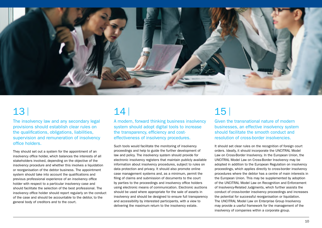

## 13 14

The insolvency law and any secondary legal provisions should establish clear rules on the qualifications, obligations, liabilities, supervision and remuneration of insolvency office holders.

They should set out a system for the appointment of an insolvency office holder, which balances the interests of all stakeholders involved, depending on the objective of the insolvency procedure and whether this involves a liquidation or reorganisation of the debtor business. The appointment system should take into account the qualifications and previous professional experience of an insolvency office holder with respect to a particular insolvency case and should facilitate the selection of the best professional. The insolvency office holder should report regularly on the conduct of the case and should be accountable to the debtor, to the general body of creditors and to the court.

A modern, forward thinking business insolvency system should adopt digital tools to increase the transparency, efficiency and costeffectiveness of insolvency procedures.

Such tools would facilitate the monitoring of insolvency proceedings and help to guide the further development of law and policy. The insolvency system should provide for electronic insolvency registers that maintain publicly available information about insolvency procedures, subject to rules on data protection and privacy. It should also promote online case management systems and, as a minimum, permit the filing of claims and submission of documents to the court by parties to the proceedings and insolvency office holders using electronic means of communication. Electronic auctions should be used where appropriate for the sale of assets in insolvency and should be designed to ensure full transparency and accessibility by interested participants, with a view to delivering the maximum return to the insolvency estate.

## 15

Given the transnational nature of modern businesses, an effective insolvency system should facilitate the smooth conduct and resolution of cross-border insolvencies.

It should set clear rules on the recognition of foreign court orders. Ideally, it should incorporate the UNCITRAL Model Law on Cross-Border Insolvency. In the European Union, the UNCITRAL Model Law on Cross-Border Insolvency may be adopted in addition to the European Regulation on insolvency proceedings, which applies directly to cross-border insolvency procedures where the debtor has a centre of main interests in the European Union. This may be supplemented by adoption of the UNCITRAL Model Law on Recognition and Enforcement of Insolvency-Related Judgments, which further assists the conduct of cross-border insolvency proceedings and increases the potential for successful reorganisation or liquidation. The UNCITRAL Model Law on Enterprise Group Insolvency may provide a useful framework for the management of the insolvency of companies within a corporate group.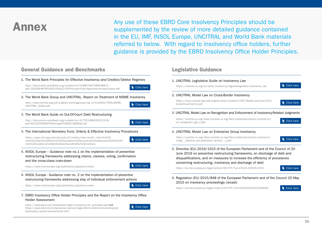Annex Many use of these EBRD Core Insolvency Principles should be<br>supplemented by the review of more detailed guidance contained in the EU, IMF, INSOL Europe, UNCITRAL and World Bank materials referred to below. With regard to insolvency office holders, further guidance is provided by the EBRD Insolvency Office Holder Principles.

### General Guidance and Benchmarks



https://www.ebrd.com/downloads/legal/insolvency/ioh\_principles.pdf and https://www.ebrd.com/what-we-do/sectors/legal-reform/debt-restructuring-andbankruptcy/sector-assessments.html



### Legislative Guidance

### 1. UNCITRAL Legislative Guide on Insolvency Law

https://uncitral.un.org/en/texts/insolvency/legislativeguides/insolvency\_law

### 2. UNCITRAL Model Law on Cross-Border Insolvency

https://www.uncitral.org/pdf/english/texts/insolven/1997-Model-Law-Insol-2013- Guide-Enactment-e.pdf

### 3. UNCITRAL Model Law on Recognition and Enforcement of Insolvency-Related Judgments

https://uncitral.un.org/sites/uncitral.un.org/files/media-documents/uncitral/en/ ml\_recognition\_gte\_e.pdf



Click here

Click here

### 4. UNCITRAL Model Law on Enterprise Group Insolvency

https://uncitral.un.org/sites/uncitral.un.org/files/media-documents/uncitral/en mlegi - advance pre-published version - e.pdf

Click here

5. Directive (EU) 2019/1023 of the European Parliament and of the Council of 20 June 2019 on preventive restructuring frameworks, on discharge of debt and disqualifications, and on measures to increase the efficiency of procedures concerning restructuring, insolvency and discharge of debt

https://eur-lex.europa.eu/legal-content/EN/TXT/?uri=CELEX:32019L1023

Click here

6. Regulation (EU) 2015/848 of the European Parliament and of the Council 20 May 2015 on insolvency proceedings (recast)

https://eur-lex.europa.eu/legal-content/EN/TXT/?uri=CELEX%3A32015R0848